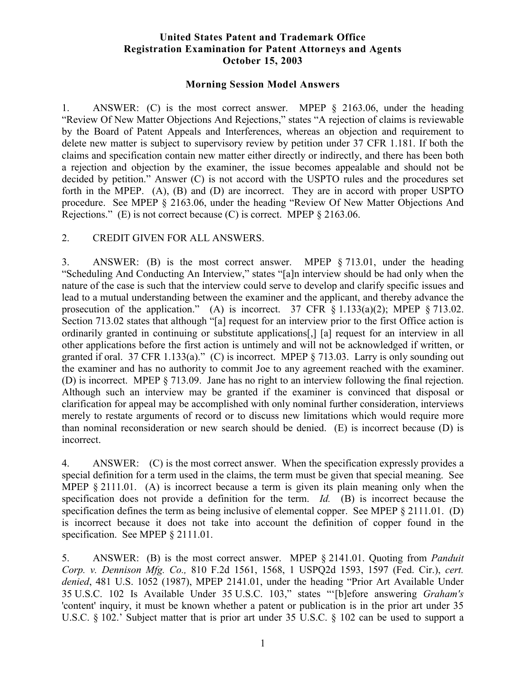## **United States Patent and Trademark Office Registration Examination for Patent Attorneys and Agents October 15, 2003**

## **Morning Session Model Answers**

1. ANSWER: (C) is the most correct answer. MPEP § 2163.06, under the heading "Review Of New Matter Objections And Rejections," states "A rejection of claims is reviewable by the Board of Patent Appeals and Interferences, whereas an objection and requirement to delete new matter is subject to supervisory review by petition under 37 CFR 1.181. If both the claims and specification contain new matter either directly or indirectly, and there has been both a rejection and objection by the examiner, the issue becomes appealable and should not be decided by petition." Answer (C) is not accord with the USPTO rules and the procedures set forth in the MPEP. (A), (B) and (D) are incorrect. They are in accord with proper USPTO procedure. See MPEP § 2163.06, under the heading "Review Of New Matter Objections And Rejections." (E) is not correct because (C) is correct. MPEP § 2163.06.

## 2. CREDIT GIVEN FOR ALL ANSWERS.

3. ANSWER: (B) is the most correct answer. MPEP § 713.01, under the heading "Scheduling And Conducting An Interview," states "[a]n interview should be had only when the nature of the case is such that the interview could serve to develop and clarify specific issues and lead to a mutual understanding between the examiner and the applicant, and thereby advance the prosecution of the application." (A) is incorrect. 37 CFR  $\S$  1.133(a)(2); MPEP  $\S$  713.02. Section 713.02 states that although "[a] request for an interview prior to the first Office action is ordinarily granted in continuing or substitute applications[,] [a] request for an interview in all other applications before the first action is untimely and will not be acknowledged if written, or granted if oral. 37 CFR 1.133(a)." (C) is incorrect. MPEP  $\S$  713.03. Larry is only sounding out the examiner and has no authority to commit Joe to any agreement reached with the examiner. (D) is incorrect. MPEP § 713.09. Jane has no right to an interview following the final rejection. Although such an interview may be granted if the examiner is convinced that disposal or clarification for appeal may be accomplished with only nominal further consideration, interviews merely to restate arguments of record or to discuss new limitations which would require more than nominal reconsideration or new search should be denied. (E) is incorrect because (D) is incorrect.

4. ANSWER: (C) is the most correct answer. When the specification expressly provides a special definition for a term used in the claims, the term must be given that special meaning. See MPEP § 2111.01. (A) is incorrect because a term is given its plain meaning only when the specification does not provide a definition for the term. *Id.* (B) is incorrect because the specification defines the term as being inclusive of elemental copper. See MPEP § 2111.01. (D) is incorrect because it does not take into account the definition of copper found in the specification. See MPEP § 2111.01.

5. ANSWER: (B) is the most correct answer. MPEP § 2141.01. Quoting from *Panduit Corp. v. Dennison Mfg. Co.,* 810 F.2d 1561, 1568, 1 USPQ2d 1593, 1597 (Fed. Cir.), *cert. denied*, 481 U.S. 1052 (1987), MPEP 2141.01, under the heading "Prior Art Available Under 35 U.S.C. 102 Is Available Under 35 U.S.C. 103," states "'[b]efore answering *Graham's* 'content' inquiry, it must be known whether a patent or publication is in the prior art under 35 U.S.C. § 102.' Subject matter that is prior art under 35 U.S.C. § 102 can be used to support a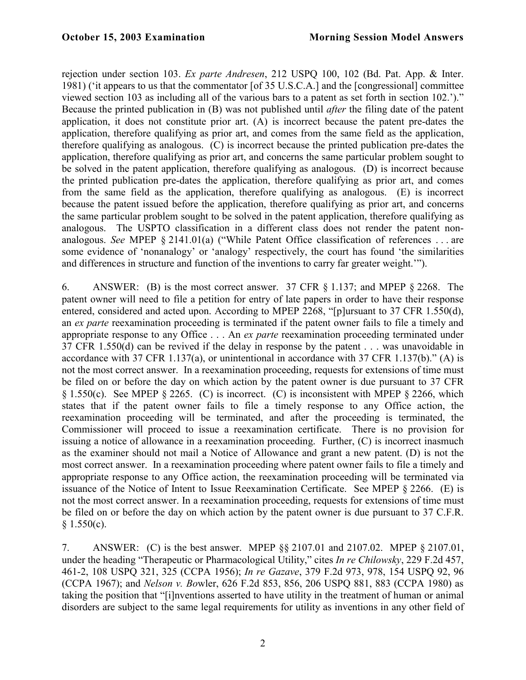rejection under section 103. *Ex parte Andresen*, 212 USPQ 100, 102 (Bd. Pat. App. & Inter. 1981) ('it appears to us that the commentator [of 35 U.S.C.A.] and the [congressional] committee viewed section 103 as including all of the various bars to a patent as set forth in section 102.')." Because the printed publication in (B) was not published until *after* the filing date of the patent application, it does not constitute prior art. (A) is incorrect because the patent pre-dates the application, therefore qualifying as prior art, and comes from the same field as the application, therefore qualifying as analogous. (C) is incorrect because the printed publication pre-dates the application, therefore qualifying as prior art, and concerns the same particular problem sought to be solved in the patent application, therefore qualifying as analogous. (D) is incorrect because the printed publication pre-dates the application, therefore qualifying as prior art, and comes from the same field as the application, therefore qualifying as analogous. (E) is incorrect because the patent issued before the application, therefore qualifying as prior art, and concerns the same particular problem sought to be solved in the patent application, therefore qualifying as analogous. The USPTO classification in a different class does not render the patent nonanalogous. *See* MPEP § 2141.01(a) ("While Patent Office classification of references . . . are some evidence of 'nonanalogy' or 'analogy' respectively, the court has found 'the similarities and differences in structure and function of the inventions to carry far greater weight.'").

6. ANSWER: (B) is the most correct answer. 37 CFR § 1.137; and MPEP § 2268. The patent owner will need to file a petition for entry of late papers in order to have their response entered, considered and acted upon. According to MPEP 2268, "[p]ursuant to 37 CFR 1.550(d), an *ex parte* reexamination proceeding is terminated if the patent owner fails to file a timely and appropriate response to any Office . . . An *ex parte* reexamination proceeding terminated under 37 CFR 1.550(d) can be revived if the delay in response by the patent . . . was unavoidable in accordance with 37 CFR 1.137(a), or unintentional in accordance with 37 CFR 1.137(b)." (A) is not the most correct answer. In a reexamination proceeding, requests for extensions of time must be filed on or before the day on which action by the patent owner is due pursuant to 37 CFR § 1.550(c). See MPEP § 2265. (C) is incorrect. (C) is inconsistent with MPEP § 2266, which states that if the patent owner fails to file a timely response to any Office action, the reexamination proceeding will be terminated, and after the proceeding is terminated, the Commissioner will proceed to issue a reexamination certificate. There is no provision for issuing a notice of allowance in a reexamination proceeding. Further, (C) is incorrect inasmuch as the examiner should not mail a Notice of Allowance and grant a new patent. (D) is not the most correct answer. In a reexamination proceeding where patent owner fails to file a timely and appropriate response to any Office action, the reexamination proceeding will be terminated via issuance of the Notice of Intent to Issue Reexamination Certificate. See MPEP § 2266. (E) is not the most correct answer. In a reexamination proceeding, requests for extensions of time must be filed on or before the day on which action by the patent owner is due pursuant to 37 C.F.R.  $§ 1.550(c).$ 

7. ANSWER: (C) is the best answer. MPEP §§ 2107.01 and 2107.02. MPEP § 2107.01, under the heading "Therapeutic or Pharmacological Utility," cites *In re Chilowsky*, 229 F.2d 457, 461-2, 108 USPQ 321, 325 (CCPA 1956); *In re Gazave*, 379 F.2d 973, 978, 154 USPQ 92, 96 (CCPA 1967); and *Nelson v. Bo*wler, 626 F.2d 853, 856, 206 USPQ 881, 883 (CCPA 1980) as taking the position that "[i]nventions asserted to have utility in the treatment of human or animal disorders are subject to the same legal requirements for utility as inventions in any other field of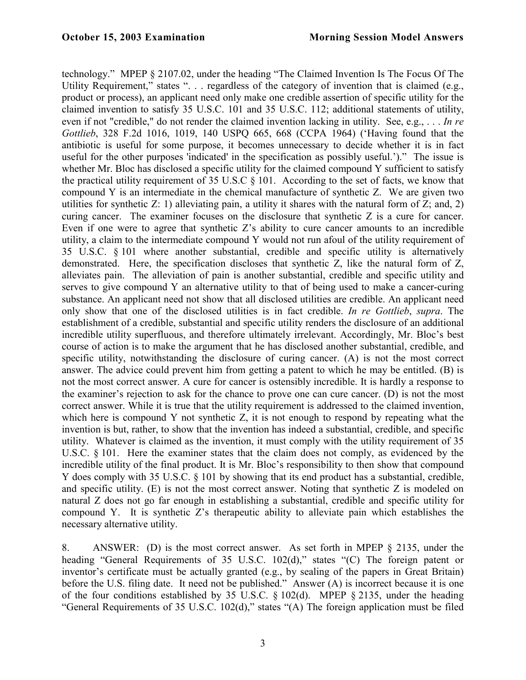technology." MPEP § 2107.02, under the heading "The Claimed Invention Is The Focus Of The Utility Requirement," states ". . . regardless of the category of invention that is claimed (e.g., product or process), an applicant need only make one credible assertion of specific utility for the claimed invention to satisfy 35 U.S.C. 101 and 35 U.S.C. 112; additional statements of utility, even if not "credible," do not render the claimed invention lacking in utility. See, e.g., . . . *In re Gottlieb*, 328 F.2d 1016, 1019, 140 USPQ 665, 668 (CCPA 1964) ('Having found that the antibiotic is useful for some purpose, it becomes unnecessary to decide whether it is in fact useful for the other purposes 'indicated' in the specification as possibly useful.')." The issue is whether Mr. Bloc has disclosed a specific utility for the claimed compound Y sufficient to satisfy the practical utility requirement of 35 U.S.C  $\&$  101. According to the set of facts, we know that compound Y is an intermediate in the chemical manufacture of synthetic Z. We are given two utilities for synthetic  $Z: 1$ ) alleviating pain, a utility it shares with the natural form of  $Z:$  and, 2) curing cancer. The examiner focuses on the disclosure that synthetic Z is a cure for cancer. Even if one were to agree that synthetic  $Z$ 's ability to cure cancer amounts to an incredible utility, a claim to the intermediate compound Y would not run afoul of the utility requirement of 35 U.S.C. § 101 where another substantial, credible and specific utility is alternatively demonstrated. Here, the specification discloses that synthetic Z, like the natural form of Z, alleviates pain. The alleviation of pain is another substantial, credible and specific utility and serves to give compound Y an alternative utility to that of being used to make a cancer-curing substance. An applicant need not show that all disclosed utilities are credible. An applicant need only show that one of the disclosed utilities is in fact credible. *In re Gottlieb*, *supra*. The establishment of a credible, substantial and specific utility renders the disclosure of an additional incredible utility superfluous, and therefore ultimately irrelevant. Accordingly, Mr. Bloc's best course of action is to make the argument that he has disclosed another substantial, credible, and specific utility, notwithstanding the disclosure of curing cancer. (A) is not the most correct answer. The advice could prevent him from getting a patent to which he may be entitled. (B) is not the most correct answer. A cure for cancer is ostensibly incredible. It is hardly a response to the examiner's rejection to ask for the chance to prove one can cure cancer. (D) is not the most correct answer. While it is true that the utility requirement is addressed to the claimed invention, which here is compound Y not synthetic Z, it is not enough to respond by repeating what the invention is but, rather, to show that the invention has indeed a substantial, credible, and specific utility. Whatever is claimed as the invention, it must comply with the utility requirement of 35 U.S.C. § 101. Here the examiner states that the claim does not comply, as evidenced by the incredible utility of the final product. It is Mr. Bloc's responsibility to then show that compound Y does comply with 35 U.S.C. § 101 by showing that its end product has a substantial, credible, and specific utility. (E) is not the most correct answer. Noting that synthetic Z is modeled on natural Z does not go far enough in establishing a substantial, credible and specific utility for compound Y. It is synthetic Z's therapeutic ability to alleviate pain which establishes the necessary alternative utility.

8. ANSWER: (D) is the most correct answer. As set forth in MPEP § 2135, under the heading "General Requirements of 35 U.S.C. 102(d)," states "(C) The foreign patent or inventor's certificate must be actually granted (e.g., by sealing of the papers in Great Britain) before the U.S. filing date. It need not be published." Answer (A) is incorrect because it is one of the four conditions established by 35 U.S.C. § 102(d). MPEP § 2135, under the heading "General Requirements of 35 U.S.C. 102(d)," states "(A) The foreign application must be filed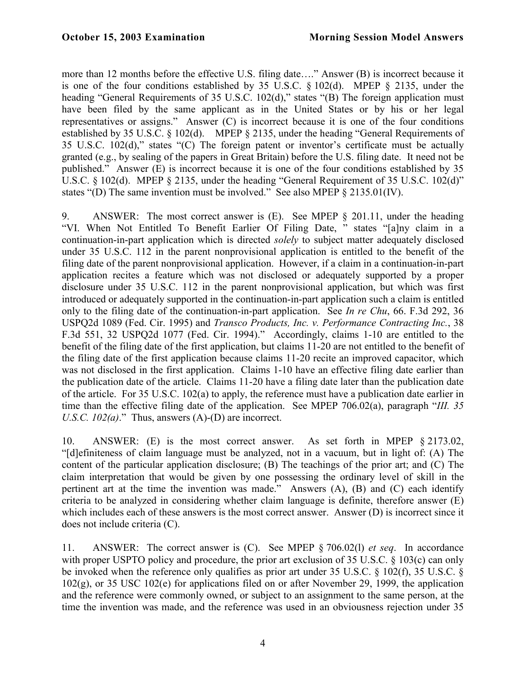more than 12 months before the effective U.S. filing date…." Answer (B) is incorrect because it is one of the four conditions established by 35 U.S.C. § 102(d). MPEP § 2135, under the heading "General Requirements of 35 U.S.C. 102(d)," states "(B) The foreign application must have been filed by the same applicant as in the United States or by his or her legal representatives or assigns." Answer (C) is incorrect because it is one of the four conditions established by 35 U.S.C. § 102(d). MPEP § 2135, under the heading "General Requirements of 35 U.S.C. 102(d)," states "(C) The foreign patent or inventor's certificate must be actually granted (e.g., by sealing of the papers in Great Britain) before the U.S. filing date. It need not be published." Answer (E) is incorrect because it is one of the four conditions established by 35 U.S.C. § 102(d). MPEP § 2135, under the heading "General Requirement of 35 U.S.C. 102(d)" states "(D) The same invention must be involved." See also MPEP § 2135.01(IV).

9. ANSWER: The most correct answer is (E). See MPEP § 201.11, under the heading "VI. When Not Entitled To Benefit Earlier Of Filing Date, " states "[a]ny claim in a continuation-in-part application which is directed *solely* to subject matter adequately disclosed under 35 U.S.C. 112 in the parent nonprovisional application is entitled to the benefit of the filing date of the parent nonprovisional application. However, if a claim in a continuation-in-part application recites a feature which was not disclosed or adequately supported by a proper disclosure under 35 U.S.C. 112 in the parent nonprovisional application, but which was first introduced or adequately supported in the continuation-in-part application such a claim is entitled only to the filing date of the continuation-in-part application. See *In re Chu*, 66. F.3d 292, 36 USPQ2d 1089 (Fed. Cir. 1995) and *Transco Products, Inc. v. Performance Contracting Inc.*, 38 F.3d 551, 32 USPQ2d 1077 (Fed. Cir. 1994)." Accordingly, claims 1-10 are entitled to the benefit of the filing date of the first application, but claims 11-20 are not entitled to the benefit of the filing date of the first application because claims 11-20 recite an improved capacitor, which was not disclosed in the first application. Claims 1-10 have an effective filing date earlier than the publication date of the article. Claims 11-20 have a filing date later than the publication date of the article. For 35 U.S.C. 102(a) to apply, the reference must have a publication date earlier in time than the effective filing date of the application. See MPEP 706.02(a), paragraph "*III. 35 U.S.C. 102(a).*" Thus, answers (A)-(D) are incorrect.

10. ANSWER: (E) is the most correct answer. As set forth in MPEP § 2173.02, "[d]efiniteness of claim language must be analyzed, not in a vacuum, but in light of: (A) The content of the particular application disclosure; (B) The teachings of the prior art; and (C) The claim interpretation that would be given by one possessing the ordinary level of skill in the pertinent art at the time the invention was made." Answers (A), (B) and (C) each identify criteria to be analyzed in considering whether claim language is definite, therefore answer (E) which includes each of these answers is the most correct answer. Answer (D) is incorrect since it does not include criteria (C).

11. ANSWER: The correct answer is (C). See MPEP § 706.02(l) *et seq*. In accordance with proper USPTO policy and procedure, the prior art exclusion of 35 U.S.C. § 103(c) can only be invoked when the reference only qualifies as prior art under 35 U.S.C. § 102(f), 35 U.S.C. § 102(g), or 35 USC 102(e) for applications filed on or after November 29, 1999, the application and the reference were commonly owned, or subject to an assignment to the same person, at the time the invention was made, and the reference was used in an obviousness rejection under 35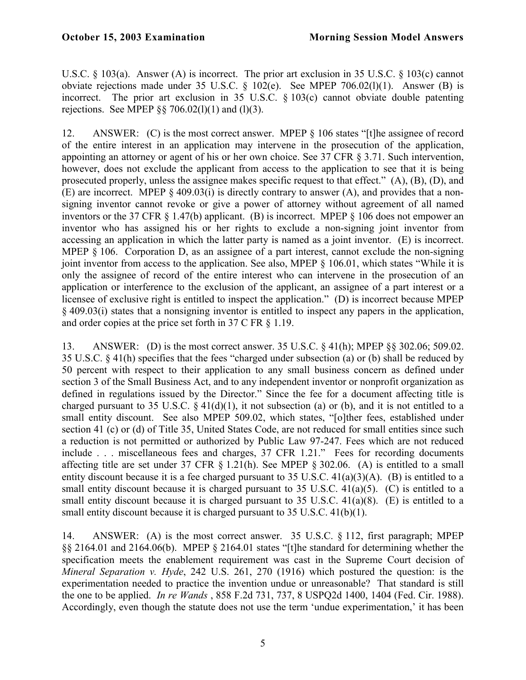U.S.C. § 103(a). Answer (A) is incorrect. The prior art exclusion in 35 U.S.C. § 103(c) cannot obviate rejections made under 35 U.S.C. § 102(e). See MPEP 706.02(l)(1). Answer (B) is incorrect. The prior art exclusion in 35 U.S.C. § 103(c) cannot obviate double patenting rejections. See MPEP  $\S$ § 706.02(1)(1) and (1)(3).

12. ANSWER: (C) is the most correct answer. MPEP § 106 states "[t]he assignee of record of the entire interest in an application may intervene in the prosecution of the application, appointing an attorney or agent of his or her own choice. See 37 CFR § 3.71. Such intervention, however, does not exclude the applicant from access to the application to see that it is being prosecuted properly, unless the assignee makes specific request to that effect." (A), (B), (D), and (E) are incorrect. MPEP § 409.03(i) is directly contrary to answer (A), and provides that a nonsigning inventor cannot revoke or give a power of attorney without agreement of all named inventors or the 37 CFR § 1.47(b) applicant. (B) is incorrect. MPEP § 106 does not empower an inventor who has assigned his or her rights to exclude a non-signing joint inventor from accessing an application in which the latter party is named as a joint inventor. (E) is incorrect. MPEP § 106. Corporation D, as an assignee of a part interest, cannot exclude the non-signing joint inventor from access to the application. See also, MPEP § 106.01, which states "While it is only the assignee of record of the entire interest who can intervene in the prosecution of an application or interference to the exclusion of the applicant, an assignee of a part interest or a licensee of exclusive right is entitled to inspect the application." (D) is incorrect because MPEP § 409.03(i) states that a nonsigning inventor is entitled to inspect any papers in the application, and order copies at the price set forth in 37 C FR § 1.19.

13. ANSWER: (D) is the most correct answer. 35 U.S.C. § 41(h); MPEP §§ 302.06; 509.02. 35 U.S.C. § 41(h) specifies that the fees "charged under subsection (a) or (b) shall be reduced by 50 percent with respect to their application to any small business concern as defined under section 3 of the Small Business Act, and to any independent inventor or nonprofit organization as defined in regulations issued by the Director." Since the fee for a document affecting title is charged pursuant to 35 U.S.C.  $\S$  41(d)(1), it not subsection (a) or (b), and it is not entitled to a small entity discount. See also MPEP 509.02, which states, "[o]ther fees, established under section 41 (c) or (d) of Title 35, United States Code, are not reduced for small entities since such a reduction is not permitted or authorized by Public Law 97-247. Fees which are not reduced include . . . miscellaneous fees and charges, 37 CFR 1.21." Fees for recording documents affecting title are set under 37 CFR § 1.21(h). See MPEP § 302.06. (A) is entitled to a small entity discount because it is a fee charged pursuant to 35 U.S.C. 41(a)(3)(A). (B) is entitled to a small entity discount because it is charged pursuant to 35 U.S.C. 41(a)(5). (C) is entitled to a small entity discount because it is charged pursuant to 35 U.S.C. 41(a)(8). (E) is entitled to a small entity discount because it is charged pursuant to 35 U.S.C. 41(b)(1).

14. ANSWER: (A) is the most correct answer. 35 U.S.C. § 112, first paragraph; MPEP §§ 2164.01 and 2164.06(b). MPEP § 2164.01 states "[t]he standard for determining whether the specification meets the enablement requirement was cast in the Supreme Court decision of *Mineral Separation v. Hyde*, 242 U.S. 261, 270 (1916) which postured the question: is the experimentation needed to practice the invention undue or unreasonable? That standard is still the one to be applied. *In re Wands* , 858 F.2d 731, 737, 8 USPQ2d 1400, 1404 (Fed. Cir. 1988). Accordingly, even though the statute does not use the term 'undue experimentation,' it has been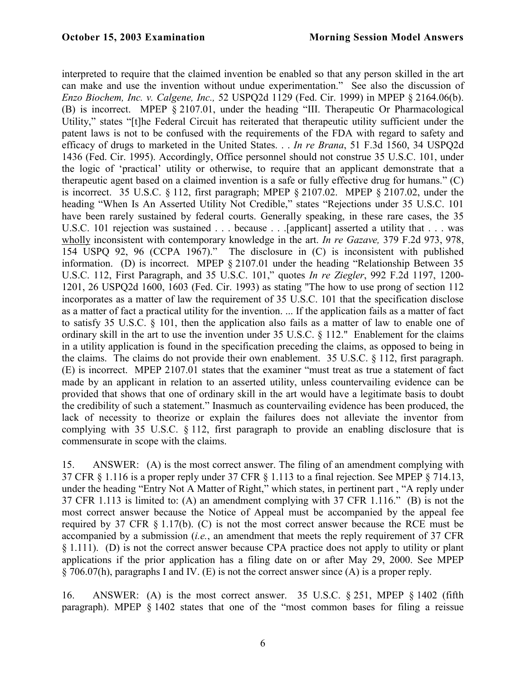interpreted to require that the claimed invention be enabled so that any person skilled in the art can make and use the invention without undue experimentation." See also the discussion of *Enzo Biochem, Inc. v. Calgene, Inc.,* 52 USPQ2d 1129 (Fed. Cir. 1999) in MPEP § 2164.06(b). (B) is incorrect. MPEP § 2107.01, under the heading "III. Therapeutic Or Pharmacological Utility," states "[t]he Federal Circuit has reiterated that therapeutic utility sufficient under the patent laws is not to be confused with the requirements of the FDA with regard to safety and efficacy of drugs to marketed in the United States. . . *In re Brana*, 51 F.3d 1560, 34 USPQ2d 1436 (Fed. Cir. 1995). Accordingly, Office personnel should not construe 35 U.S.C. 101, under the logic of 'practical' utility or otherwise, to require that an applicant demonstrate that a therapeutic agent based on a claimed invention is a safe or fully effective drug for humans." (C) is incorrect. 35 U.S.C. § 112, first paragraph; MPEP § 2107.02. MPEP § 2107.02, under the heading "When Is An Asserted Utility Not Credible," states "Rejections under 35 U.S.C. 101 have been rarely sustained by federal courts. Generally speaking, in these rare cases, the 35 U.S.C. 101 rejection was sustained . . . because . . . [applicant] asserted a utility that . . . was wholly inconsistent with contemporary knowledge in the art. *In re Gazave,* 379 F.2d 973, 978, 154 USPQ 92, 96 (CCPA 1967)." The disclosure in (C) is inconsistent with published information. (D) is incorrect. MPEP § 2107.01 under the heading "Relationship Between 35 U.S.C. 112, First Paragraph, and 35 U.S.C. 101," quotes *In re Ziegler*, 992 F.2d 1197, 1200- 1201, 26 USPQ2d 1600, 1603 (Fed. Cir. 1993) as stating "The how to use prong of section 112 incorporates as a matter of law the requirement of 35 U.S.C. 101 that the specification disclose as a matter of fact a practical utility for the invention. ... If the application fails as a matter of fact to satisfy 35 U.S.C. § 101, then the application also fails as a matter of law to enable one of ordinary skill in the art to use the invention under 35 U.S.C. § 112." Enablement for the claims in a utility application is found in the specification preceding the claims, as opposed to being in the claims. The claims do not provide their own enablement. 35 U.S.C. § 112, first paragraph. (E) is incorrect. MPEP 2107.01 states that the examiner "must treat as true a statement of fact made by an applicant in relation to an asserted utility, unless countervailing evidence can be provided that shows that one of ordinary skill in the art would have a legitimate basis to doubt the credibility of such a statement." Inasmuch as countervailing evidence has been produced, the lack of necessity to theorize or explain the failures does not alleviate the inventor from complying with 35 U.S.C. § 112, first paragraph to provide an enabling disclosure that is commensurate in scope with the claims.

15. ANSWER: (A) is the most correct answer. The filing of an amendment complying with 37 CFR § 1.116 is a proper reply under 37 CFR § 1.113 to a final rejection. See MPEP § 714.13, under the heading "Entry Not A Matter of Right," which states, in pertinent part , "A reply under 37 CFR 1.113 is limited to: (A) an amendment complying with 37 CFR 1.116." (B) is not the most correct answer because the Notice of Appeal must be accompanied by the appeal fee required by 37 CFR § 1.17(b). (C) is not the most correct answer because the RCE must be accompanied by a submission (*i.e.*, an amendment that meets the reply requirement of 37 CFR § 1.111). (D) is not the correct answer because CPA practice does not apply to utility or plant applications if the prior application has a filing date on or after May 29, 2000. See MPEP § 706.07(h), paragraphs I and IV. (E) is not the correct answer since (A) is a proper reply.

16. ANSWER: (A) is the most correct answer. 35 U.S.C. § 251, MPEP § 1402 (fifth paragraph). MPEP § 1402 states that one of the "most common bases for filing a reissue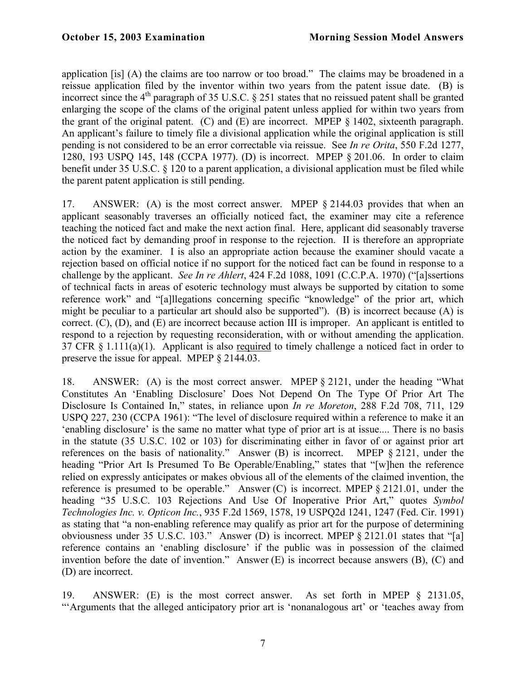application [is] (A) the claims are too narrow or too broad." The claims may be broadened in a reissue application filed by the inventor within two years from the patent issue date. (B) is incorrect since the  $4<sup>th</sup>$  paragraph of 35 U.S.C. § 251 states that no reissued patent shall be granted enlarging the scope of the clams of the original patent unless applied for within two years from the grant of the original patent. (C) and (E) are incorrect. MPEP § 1402, sixteenth paragraph. An applicant's failure to timely file a divisional application while the original application is still pending is not considered to be an error correctable via reissue. See *In re Orita*, 550 F.2d 1277, 1280, 193 USPQ 145, 148 (CCPA 1977). (D) is incorrect. MPEP § 201.06. In order to claim benefit under 35 U.S.C. § 120 to a parent application, a divisional application must be filed while the parent patent application is still pending.

17. ANSWER: (A) is the most correct answer. MPEP § 2144.03 provides that when an applicant seasonably traverses an officially noticed fact, the examiner may cite a reference teaching the noticed fact and make the next action final. Here, applicant did seasonably traverse the noticed fact by demanding proof in response to the rejection. II is therefore an appropriate action by the examiner. I is also an appropriate action because the examiner should vacate a rejection based on official notice if no support for the noticed fact can be found in response to a challenge by the applicant. *See In re Ahlert*, 424 F.2d 1088, 1091 (C.C.P.A. 1970) ("[a]ssertions of technical facts in areas of esoteric technology must always be supported by citation to some reference work" and "[a]llegations concerning specific "knowledge" of the prior art, which might be peculiar to a particular art should also be supported"). (B) is incorrect because (A) is correct. (C), (D), and (E) are incorrect because action III is improper. An applicant is entitled to respond to a rejection by requesting reconsideration, with or without amending the application. 37 CFR § 1.111(a)(1). Applicant is also required to timely challenge a noticed fact in order to preserve the issue for appeal. MPEP § 2144.03.

18. ANSWER: (A) is the most correct answer. MPEP § 2121, under the heading "What Constitutes An 'Enabling Disclosure' Does Not Depend On The Type Of Prior Art The Disclosure Is Contained In," states, in reliance upon *In re Moreton*, 288 F.2d 708, 711, 129 USPQ 227, 230 (CCPA 1961): "The level of disclosure required within a reference to make it an 'enabling disclosure' is the same no matter what type of prior art is at issue.... There is no basis in the statute (35 U.S.C. 102 or 103) for discriminating either in favor of or against prior art references on the basis of nationality." Answer (B) is incorrect. MPEP § 2121, under the heading "Prior Art Is Presumed To Be Operable/Enabling," states that "[w]hen the reference relied on expressly anticipates or makes obvious all of the elements of the claimed invention, the reference is presumed to be operable." Answer (C) is incorrect. MPEP § 2121.01, under the heading "35 U.S.C. 103 Rejections And Use Of Inoperative Prior Art," quotes *Symbol Technologies Inc. v. Opticon Inc.*, 935 F.2d 1569, 1578, 19 USPQ2d 1241, 1247 (Fed. Cir. 1991) as stating that "a non-enabling reference may qualify as prior art for the purpose of determining obviousness under 35 U.S.C. 103." Answer (D) is incorrect. MPEP § 2121.01 states that "[a] reference contains an 'enabling disclosure' if the public was in possession of the claimed invention before the date of invention." Answer (E) is incorrect because answers (B), (C) and (D) are incorrect.

19. ANSWER: (E) is the most correct answer. As set forth in MPEP § 2131.05, "'Arguments that the alleged anticipatory prior art is 'nonanalogous art' or 'teaches away from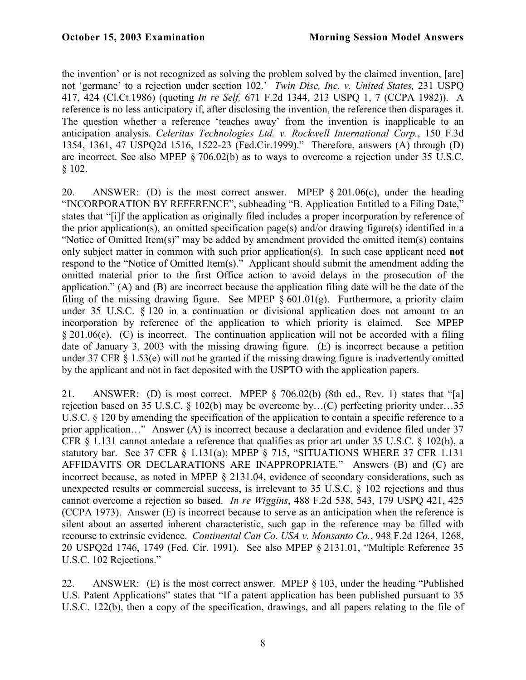the invention' or is not recognized as solving the problem solved by the claimed invention, [are] not 'germane' to a rejection under section 102.' *Twin Disc, Inc. v. United States,* 231 USPQ 417, 424 (Cl.Ct.1986) (quoting *In re Self,* 671 F.2d 1344, 213 USPQ 1, 7 (CCPA 1982)). A reference is no less anticipatory if, after disclosing the invention, the reference then disparages it. The question whether a reference 'teaches away' from the invention is inapplicable to an anticipation analysis. *Celeritas Technologies Ltd. v. Rockwell International Corp.*, 150 F.3d 1354, 1361, 47 USPQ2d 1516, 1522-23 (Fed.Cir.1999)." Therefore, answers (A) through (D) are incorrect. See also MPEP § 706.02(b) as to ways to overcome a rejection under 35 U.S.C. § 102.

20. ANSWER: (D) is the most correct answer. MPEP § 201.06(c), under the heading "INCORPORATION BY REFERENCE", subheading "B. Application Entitled to a Filing Date," states that "[i]f the application as originally filed includes a proper incorporation by reference of the prior application(s), an omitted specification page(s) and/or drawing figure(s) identified in a "Notice of Omitted Item(s)" may be added by amendment provided the omitted item(s) contains only subject matter in common with such prior application(s). In such case applicant need **not** respond to the "Notice of Omitted Item(s)." Applicant should submit the amendment adding the omitted material prior to the first Office action to avoid delays in the prosecution of the application." (A) and (B) are incorrect because the application filing date will be the date of the filing of the missing drawing figure. See MPEP  $\S 601.01(g)$ . Furthermore, a priority claim under 35 U.S.C.  $\S$  120 in a continuation or divisional application does not amount to an incorporation by reference of the application to which priority is claimed. See MPEP § 201.06(c). (C) is incorrect. The continuation application will not be accorded with a filing date of January 3, 2003 with the missing drawing figure. (E) is incorrect because a petition under 37 CFR § 1.53(e) will not be granted if the missing drawing figure is inadvertently omitted by the applicant and not in fact deposited with the USPTO with the application papers.

21. ANSWER: (D) is most correct. MPEP § 706.02(b) (8th ed., Rev. 1) states that "[a] rejection based on 35 U.S.C. § 102(b) may be overcome by…(C) perfecting priority under…35 U.S.C. § 120 by amending the specification of the application to contain a specific reference to a prior application…" Answer (A) is incorrect because a declaration and evidence filed under 37 CFR § 1.131 cannot antedate a reference that qualifies as prior art under 35 U.S.C. § 102(b), a statutory bar. See 37 CFR § 1.131(a); MPEP § 715, "SITUATIONS WHERE 37 CFR 1.131 AFFIDAVITS OR DECLARATIONS ARE INAPPROPRIATE." Answers (B) and (C) are incorrect because, as noted in MPEP § 2131.04, evidence of secondary considerations, such as unexpected results or commercial success, is irrelevant to 35 U.S.C. § 102 rejections and thus cannot overcome a rejection so based. *In re Wiggins*, 488 F.2d 538, 543, 179 USPQ 421, 425 (CCPA 1973). Answer (E) is incorrect because to serve as an anticipation when the reference is silent about an asserted inherent characteristic, such gap in the reference may be filled with recourse to extrinsic evidence. *Continental Can Co. USA v. Monsanto Co.*, 948 F.2d 1264, 1268, 20 USPQ2d 1746, 1749 (Fed. Cir. 1991). See also MPEP § 2131.01, "Multiple Reference 35 U.S.C. 102 Rejections."

22. ANSWER: (E) is the most correct answer. MPEP § 103, under the heading "Published U.S. Patent Applications" states that "If a patent application has been published pursuant to 35 U.S.C. 122(b), then a copy of the specification, drawings, and all papers relating to the file of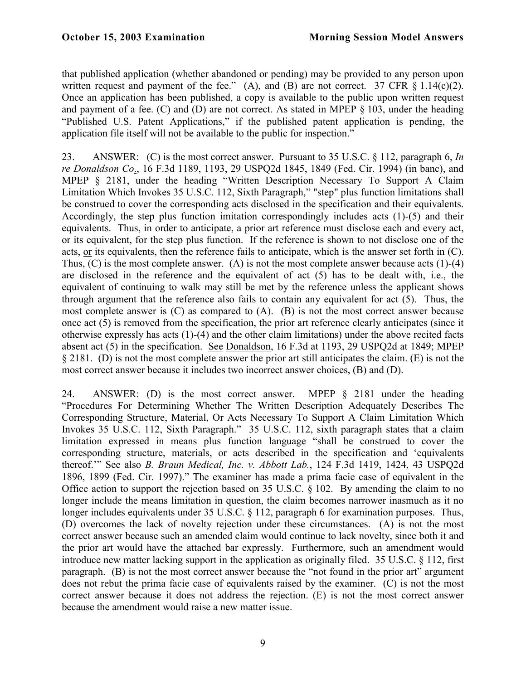that published application (whether abandoned or pending) may be provided to any person upon written request and payment of the fee." (A), and (B) are not correct. 37 CFR  $\S$  1.14(c)(2). Once an application has been published, a copy is available to the public upon written request and payment of a fee. (C) and (D) are not correct. As stated in MPEP § 103, under the heading "Published U.S. Patent Applications," if the published patent application is pending, the application file itself will not be available to the public for inspection."

23. ANSWER: (C) is the most correct answer. Pursuant to 35 U.S.C. § 112, paragraph 6, *In re Donaldson Co*., 16 F.3d 1189, 1193, 29 USPQ2d 1845, 1849 (Fed. Cir. 1994) (in banc), and MPEP § 2181, under the heading "Written Description Necessary To Support A Claim Limitation Which Invokes 35 U.S.C. 112, Sixth Paragraph," "step" plus function limitations shall be construed to cover the corresponding acts disclosed in the specification and their equivalents. Accordingly, the step plus function imitation correspondingly includes acts (1)-(5) and their equivalents. Thus, in order to anticipate, a prior art reference must disclose each and every act, or its equivalent, for the step plus function. If the reference is shown to not disclose one of the acts, or its equivalents, then the reference fails to anticipate, which is the answer set forth in (C). Thus, (C) is the most complete answer. (A) is not the most complete answer because acts (1)-(4) are disclosed in the reference and the equivalent of act (5) has to be dealt with, i.e., the equivalent of continuing to walk may still be met by the reference unless the applicant shows through argument that the reference also fails to contain any equivalent for act (5). Thus, the most complete answer is (C) as compared to (A). (B) is not the most correct answer because once act (5) is removed from the specification, the prior art reference clearly anticipates (since it otherwise expressly has acts (1)-(4) and the other claim limitations) under the above recited facts absent act (5) in the specification. See Donaldson, 16 F.3d at 1193, 29 USPQ2d at 1849; MPEP § 2181. (D) is not the most complete answer the prior art still anticipates the claim. (E) is not the most correct answer because it includes two incorrect answer choices, (B) and (D).

24. ANSWER: (D) is the most correct answer. MPEP § 2181 under the heading "Procedures For Determining Whether The Written Description Adequately Describes The Corresponding Structure, Material, Or Acts Necessary To Support A Claim Limitation Which Invokes 35 U.S.C. 112, Sixth Paragraph." 35 U.S.C. 112, sixth paragraph states that a claim limitation expressed in means plus function language "shall be construed to cover the corresponding structure, materials, or acts described in the specification and 'equivalents thereof.'" See also *B. Braun Medical, Inc. v. Abbott Lab.*, 124 F.3d 1419, 1424, 43 USPQ2d 1896, 1899 (Fed. Cir. 1997)." The examiner has made a prima facie case of equivalent in the Office action to support the rejection based on 35 U.S.C. § 102. By amending the claim to no longer include the means limitation in question, the claim becomes narrower inasmuch as it no longer includes equivalents under 35 U.S.C. § 112, paragraph 6 for examination purposes. Thus, (D) overcomes the lack of novelty rejection under these circumstances. (A) is not the most correct answer because such an amended claim would continue to lack novelty, since both it and the prior art would have the attached bar expressly. Furthermore, such an amendment would introduce new matter lacking support in the application as originally filed. 35 U.S.C. § 112, first paragraph. (B) is not the most correct answer because the "not found in the prior art" argument does not rebut the prima facie case of equivalents raised by the examiner. (C) is not the most correct answer because it does not address the rejection. (E) is not the most correct answer because the amendment would raise a new matter issue.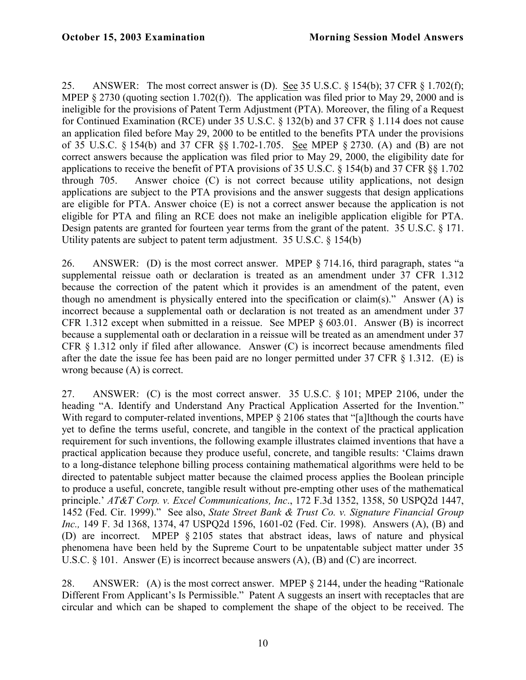25. ANSWER: The most correct answer is (D). See 35 U.S.C. § 154(b); 37 CFR § 1.702(f); MPEP § 2730 (quoting section 1.702(f)). The application was filed prior to May 29, 2000 and is ineligible for the provisions of Patent Term Adjustment (PTA). Moreover, the filing of a Request for Continued Examination (RCE) under 35 U.S.C. § 132(b) and 37 CFR § 1.114 does not cause an application filed before May 29, 2000 to be entitled to the benefits PTA under the provisions of 35 U.S.C. § 154(b) and 37 CFR §§ 1.702-1.705. See MPEP § 2730. (A) and (B) are not correct answers because the application was filed prior to May 29, 2000, the eligibility date for applications to receive the benefit of PTA provisions of 35 U.S.C. § 154(b) and 37 CFR §§ 1.702 through 705. Answer choice (C) is not correct because utility applications, not design applications are subject to the PTA provisions and the answer suggests that design applications are eligible for PTA. Answer choice (E) is not a correct answer because the application is not eligible for PTA and filing an RCE does not make an ineligible application eligible for PTA. Design patents are granted for fourteen year terms from the grant of the patent. 35 U.S.C. § 171. Utility patents are subject to patent term adjustment. 35 U.S.C. § 154(b)

26. ANSWER: (D) is the most correct answer. MPEP § 714.16, third paragraph, states "a supplemental reissue oath or declaration is treated as an amendment under 37 CFR 1.312 because the correction of the patent which it provides is an amendment of the patent, even though no amendment is physically entered into the specification or claim(s)." Answer (A) is incorrect because a supplemental oath or declaration is not treated as an amendment under 37 CFR 1.312 except when submitted in a reissue. See MPEP § 603.01. Answer (B) is incorrect because a supplemental oath or declaration in a reissue will be treated as an amendment under 37 CFR § 1.312 only if filed after allowance. Answer (C) is incorrect because amendments filed after the date the issue fee has been paid are no longer permitted under 37 CFR § 1.312. (E) is wrong because (A) is correct.

27. ANSWER: (C) is the most correct answer. 35 U.S.C. § 101; MPEP 2106, under the heading "A. Identify and Understand Any Practical Application Asserted for the Invention." With regard to computer-related inventions, MPEP § 2106 states that "[a]lthough the courts have yet to define the terms useful, concrete, and tangible in the context of the practical application requirement for such inventions, the following example illustrates claimed inventions that have a practical application because they produce useful, concrete, and tangible results: 'Claims drawn to a long-distance telephone billing process containing mathematical algorithms were held to be directed to patentable subject matter because the claimed process applies the Boolean principle to produce a useful, concrete, tangible result without pre-empting other uses of the mathematical principle.' *AT&T Corp. v. Excel Communications, Inc*., 172 F.3d 1352, 1358, 50 USPQ2d 1447, 1452 (Fed. Cir. 1999)." See also, *State Street Bank & Trust Co. v. Signature Financial Group Inc.,* 149 F. 3d 1368, 1374, 47 USPQ2d 1596, 1601-02 (Fed. Cir. 1998). Answers (A), (B) and (D) are incorrect. MPEP § 2105 states that abstract ideas, laws of nature and physical phenomena have been held by the Supreme Court to be unpatentable subject matter under 35 U.S.C. § 101. Answer (E) is incorrect because answers (A), (B) and (C) are incorrect.

28. ANSWER: (A) is the most correct answer. MPEP § 2144, under the heading "Rationale Different From Applicant's Is Permissible." Patent A suggests an insert with receptacles that are circular and which can be shaped to complement the shape of the object to be received. The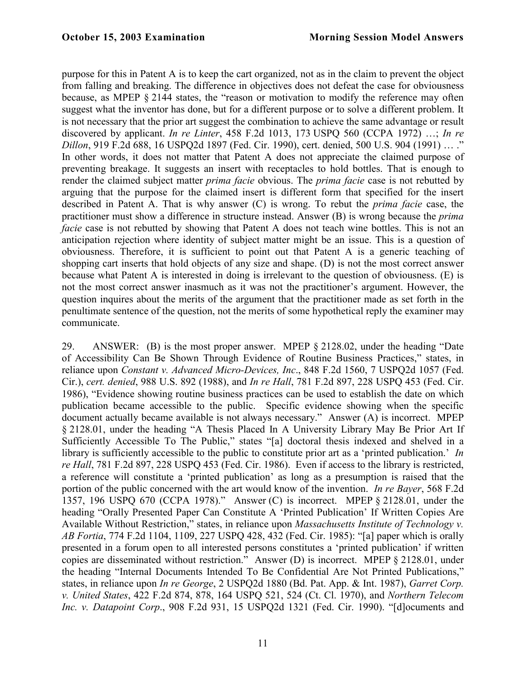purpose for this in Patent A is to keep the cart organized, not as in the claim to prevent the object from falling and breaking. The difference in objectives does not defeat the case for obviousness because, as MPEP § 2144 states, the "reason or motivation to modify the reference may often suggest what the inventor has done, but for a different purpose or to solve a different problem. It is not necessary that the prior art suggest the combination to achieve the same advantage or result discovered by applicant. *In re Linter*, 458 F.2d 1013, 173 USPQ 560 (CCPA 1972) …; *In re Dillon*, 919 F.2d 688, 16 USPQ2d 1897 (Fed. Cir. 1990), cert. denied, 500 U.S. 904 (1991) … ." In other words, it does not matter that Patent A does not appreciate the claimed purpose of preventing breakage. It suggests an insert with receptacles to hold bottles. That is enough to render the claimed subject matter *prima facie* obvious. The *prima facie* case is not rebutted by arguing that the purpose for the claimed insert is different form that specified for the insert described in Patent A. That is why answer (C) is wrong. To rebut the *prima facie* case, the practitioner must show a difference in structure instead. Answer (B) is wrong because the *prima facie* case is not rebutted by showing that Patent A does not teach wine bottles. This is not an anticipation rejection where identity of subject matter might be an issue. This is a question of obviousness. Therefore, it is sufficient to point out that Patent A is a generic teaching of shopping cart inserts that hold objects of any size and shape. (D) is not the most correct answer because what Patent A is interested in doing is irrelevant to the question of obviousness. (E) is not the most correct answer inasmuch as it was not the practitioner's argument. However, the question inquires about the merits of the argument that the practitioner made as set forth in the penultimate sentence of the question, not the merits of some hypothetical reply the examiner may communicate.

29. ANSWER: (B) is the most proper answer. MPEP § 2128.02, under the heading "Date of Accessibility Can Be Shown Through Evidence of Routine Business Practices," states, in reliance upon *Constant v. Advanced Micro-Devices, Inc*., 848 F.2d 1560, 7 USPQ2d 1057 (Fed. Cir.), *cert. denied*, 988 U.S. 892 (1988), and *In re Hall*, 781 F.2d 897, 228 USPQ 453 (Fed. Cir. 1986), "Evidence showing routine business practices can be used to establish the date on which publication became accessible to the public. Specific evidence showing when the specific document actually became available is not always necessary." Answer (A) is incorrect. MPEP § 2128.01, under the heading "A Thesis Placed In A University Library May Be Prior Art If Sufficiently Accessible To The Public," states "[a] doctoral thesis indexed and shelved in a library is sufficiently accessible to the public to constitute prior art as a 'printed publication.' *In re Hall*, 781 F.2d 897, 228 USPQ 453 (Fed. Cir. 1986). Even if access to the library is restricted, a reference will constitute a 'printed publication' as long as a presumption is raised that the portion of the public concerned with the art would know of the invention. *In re Bayer*, 568 F.2d 1357, 196 USPQ 670 (CCPA 1978)." Answer (C) is incorrect. MPEP § 2128.01, under the heading "Orally Presented Paper Can Constitute A 'Printed Publication' If Written Copies Are Available Without Restriction," states, in reliance upon *Massachusetts Institute of Technology v. AB Fortia*, 774 F.2d 1104, 1109, 227 USPQ 428, 432 (Fed. Cir. 1985): "[a] paper which is orally presented in a forum open to all interested persons constitutes a 'printed publication' if written copies are disseminated without restriction." Answer (D) is incorrect. MPEP § 2128.01, under the heading "Internal Documents Intended To Be Confidential Are Not Printed Publications," states, in reliance upon *In re George*, 2 USPQ2d 1880 (Bd. Pat. App. & Int. 1987), *Garret Corp. v. United States*, 422 F.2d 874, 878, 164 USPQ 521, 524 (Ct. Cl. 1970), and *Northern Telecom Inc. v. Datapoint Corp*., 908 F.2d 931, 15 USPQ2d 1321 (Fed. Cir. 1990). "[d]ocuments and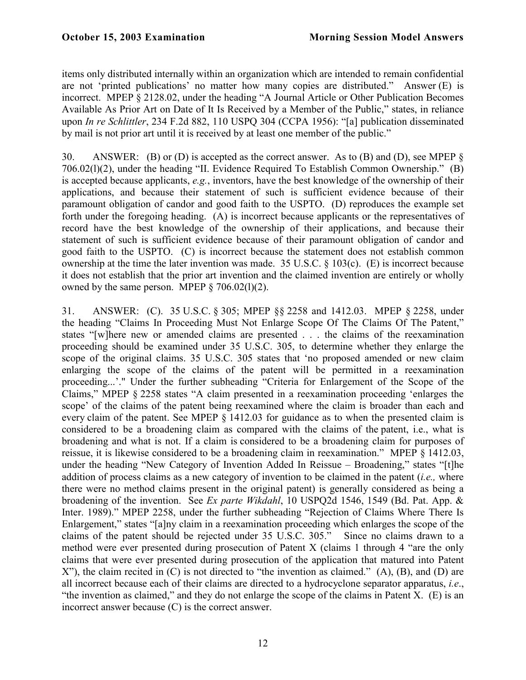items only distributed internally within an organization which are intended to remain confidential are not 'printed publications' no matter how many copies are distributed." Answer (E) is incorrect. MPEP § 2128.02, under the heading "A Journal Article or Other Publication Becomes Available As Prior Art on Date of It Is Received by a Member of the Public," states, in reliance upon *In re Schlittler*, 234 F.2d 882, 110 USPQ 304 (CCPA 1956): "[a] publication disseminated by mail is not prior art until it is received by at least one member of the public."

30. ANSWER: (B) or (D) is accepted as the correct answer. As to (B) and (D), see MPEP § 706.02(l)(2), under the heading "II. Evidence Required To Establish Common Ownership." (B) is accepted because applicants, *e.g.*, inventors, have the best knowledge of the ownership of their applications, and because their statement of such is sufficient evidence because of their paramount obligation of candor and good faith to the USPTO. (D) reproduces the example set forth under the foregoing heading. (A) is incorrect because applicants or the representatives of record have the best knowledge of the ownership of their applications, and because their statement of such is sufficient evidence because of their paramount obligation of candor and good faith to the USPTO. (C) is incorrect because the statement does not establish common ownership at the time the later invention was made. 35 U.S.C. § 103(c). (E) is incorrect because it does not establish that the prior art invention and the claimed invention are entirely or wholly owned by the same person. MPEP  $\S$  706.02(1)(2).

31. ANSWER: (C). 35 U.S.C. § 305; MPEP §§ 2258 and 1412.03. MPEP § 2258, under the heading "Claims In Proceeding Must Not Enlarge Scope Of The Claims Of The Patent," states "[w]here new or amended claims are presented . . . the claims of the reexamination proceeding should be examined under 35 U.S.C. 305, to determine whether they enlarge the scope of the original claims. 35 U.S.C. 305 states that 'no proposed amended or new claim enlarging the scope of the claims of the patent will be permitted in a reexamination proceeding...'." Under the further subheading "Criteria for Enlargement of the Scope of the Claims," MPEP § 2258 states "A claim presented in a reexamination proceeding 'enlarges the scope' of the claims of the patent being reexamined where the claim is broader than each and every claim of the patent. See MPEP § 1412.03 for guidance as to when the presented claim is considered to be a broadening claim as compared with the claims of the patent, i.e., what is broadening and what is not. If a claim is considered to be a broadening claim for purposes of reissue, it is likewise considered to be a broadening claim in reexamination." MPEP § 1412.03, under the heading "New Category of Invention Added In Reissue – Broadening," states "[t]he addition of process claims as a new category of invention to be claimed in the patent (*i.e.,* where there were no method claims present in the original patent) is generally considered as being a broadening of the invention. See *Ex parte Wikdahl*, 10 USPQ2d 1546, 1549 (Bd. Pat. App. & Inter. 1989)." MPEP 2258, under the further subheading "Rejection of Claims Where There Is Enlargement," states "[a]ny claim in a reexamination proceeding which enlarges the scope of the claims of the patent should be rejected under 35 U.S.C. 305." Since no claims drawn to a method were ever presented during prosecution of Patent X (claims 1 through 4 "are the only claims that were ever presented during prosecution of the application that matured into Patent X"), the claim recited in (C) is not directed to "the invention as claimed." (A), (B), and (D) are all incorrect because each of their claims are directed to a hydrocyclone separator apparatus, *i.e*., "the invention as claimed," and they do not enlarge the scope of the claims in Patent X.  $(E)$  is an incorrect answer because (C) is the correct answer.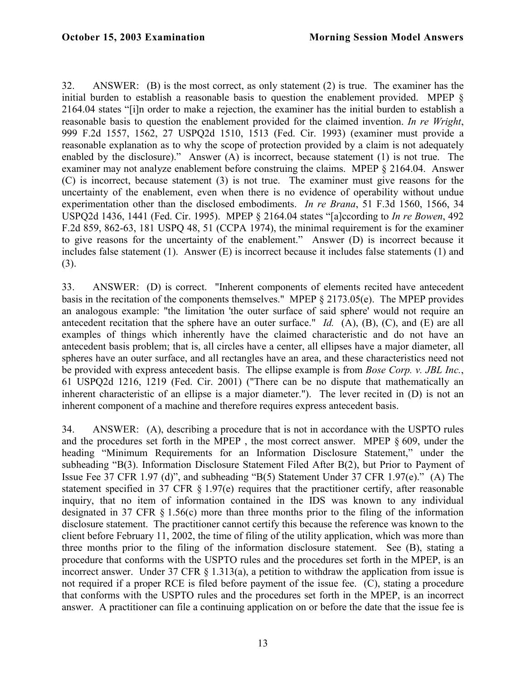32. ANSWER: (B) is the most correct, as only statement (2) is true. The examiner has the initial burden to establish a reasonable basis to question the enablement provided. MPEP § 2164.04 states "[i]n order to make a rejection, the examiner has the initial burden to establish a reasonable basis to question the enablement provided for the claimed invention. *In re Wright*, 999 F.2d 1557, 1562, 27 USPQ2d 1510, 1513 (Fed. Cir. 1993) (examiner must provide a reasonable explanation as to why the scope of protection provided by a claim is not adequately enabled by the disclosure)." Answer (A) is incorrect, because statement (1) is not true. The examiner may not analyze enablement before construing the claims. MPEP § 2164.04. Answer (C) is incorrect, because statement (3) is not true. The examiner must give reasons for the uncertainty of the enablement, even when there is no evidence of operability without undue experimentation other than the disclosed embodiments. *In re Brana*, 51 F.3d 1560, 1566, 34 USPQ2d 1436, 1441 (Fed. Cir. 1995). MPEP § 2164.04 states "[a]ccording to *In re Bowen*, 492 F.2d 859, 862-63, 181 USPQ 48, 51 (CCPA 1974), the minimal requirement is for the examiner to give reasons for the uncertainty of the enablement." Answer (D) is incorrect because it includes false statement (1). Answer (E) is incorrect because it includes false statements (1) and (3).

33. ANSWER: (D) is correct. "Inherent components of elements recited have antecedent basis in the recitation of the components themselves." MPEP § 2173.05(e). The MPEP provides an analogous example: "the limitation 'the outer surface of said sphere' would not require an antecedent recitation that the sphere have an outer surface." *Id.* (A), (B), (C), and (E) are all examples of things which inherently have the claimed characteristic and do not have an antecedent basis problem; that is, all circles have a center, all ellipses have a major diameter, all spheres have an outer surface, and all rectangles have an area, and these characteristics need not be provided with express antecedent basis. The ellipse example is from *Bose Corp. v. JBL Inc.*, 61 USPQ2d 1216, 1219 (Fed. Cir. 2001) ("There can be no dispute that mathematically an inherent characteristic of an ellipse is a major diameter."). The lever recited in (D) is not an inherent component of a machine and therefore requires express antecedent basis.

34. ANSWER: (A), describing a procedure that is not in accordance with the USPTO rules and the procedures set forth in the MPEP , the most correct answer. MPEP § 609, under the heading "Minimum Requirements for an Information Disclosure Statement," under the subheading "B(3). Information Disclosure Statement Filed After B(2), but Prior to Payment of Issue Fee 37 CFR 1.97 (d)", and subheading "B(5) Statement Under 37 CFR 1.97(e)." (A) The statement specified in 37 CFR § 1.97(e) requires that the practitioner certify, after reasonable inquiry, that no item of information contained in the IDS was known to any individual designated in 37 CFR § 1.56(c) more than three months prior to the filing of the information disclosure statement. The practitioner cannot certify this because the reference was known to the client before February 11, 2002, the time of filing of the utility application, which was more than three months prior to the filing of the information disclosure statement. See (B), stating a procedure that conforms with the USPTO rules and the procedures set forth in the MPEP, is an incorrect answer. Under 37 CFR  $\S$  1.313(a), a petition to withdraw the application from issue is not required if a proper RCE is filed before payment of the issue fee. (C), stating a procedure that conforms with the USPTO rules and the procedures set forth in the MPEP, is an incorrect answer. A practitioner can file a continuing application on or before the date that the issue fee is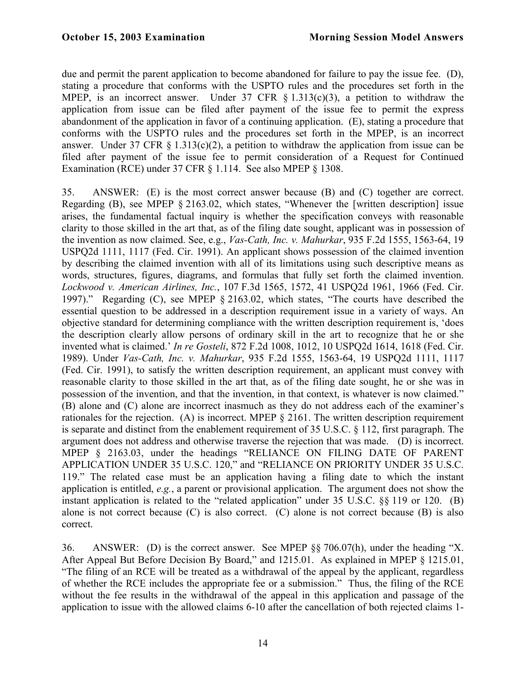due and permit the parent application to become abandoned for failure to pay the issue fee. (D), stating a procedure that conforms with the USPTO rules and the procedures set forth in the MPEP, is an incorrect answer. Under 37 CFR  $\S$  1.313(c)(3), a petition to withdraw the application from issue can be filed after payment of the issue fee to permit the express abandonment of the application in favor of a continuing application. (E), stating a procedure that conforms with the USPTO rules and the procedures set forth in the MPEP, is an incorrect answer. Under 37 CFR  $\S$  1.313(c)(2), a petition to withdraw the application from issue can be filed after payment of the issue fee to permit consideration of a Request for Continued Examination (RCE) under 37 CFR § 1.114. See also MPEP § 1308.

35. ANSWER: (E) is the most correct answer because (B) and (C) together are correct. Regarding (B), see MPEP § 2163.02, which states, "Whenever the [written description] issue arises, the fundamental factual inquiry is whether the specification conveys with reasonable clarity to those skilled in the art that, as of the filing date sought, applicant was in possession of the invention as now claimed. See, e.g., *Vas-Cath, Inc. v. Mahurkar*, 935 F.2d 1555, 1563-64, 19 USPQ2d 1111, 1117 (Fed. Cir. 1991). An applicant shows possession of the claimed invention by describing the claimed invention with all of its limitations using such descriptive means as words, structures, figures, diagrams, and formulas that fully set forth the claimed invention. *Lockwood v. American Airlines, Inc.*, 107 F.3d 1565, 1572, 41 USPQ2d 1961, 1966 (Fed. Cir. 1997)." Regarding (C), see MPEP § 2163.02, which states, "The courts have described the essential question to be addressed in a description requirement issue in a variety of ways. An objective standard for determining compliance with the written description requirement is, 'does the description clearly allow persons of ordinary skill in the art to recognize that he or she invented what is claimed.' *In re Gosteli*, 872 F.2d 1008, 1012, 10 USPQ2d 1614, 1618 (Fed. Cir. 1989). Under *Vas-Cath, Inc. v. Mahurkar*, 935 F.2d 1555, 1563-64, 19 USPQ2d 1111, 1117 (Fed. Cir. 1991), to satisfy the written description requirement, an applicant must convey with reasonable clarity to those skilled in the art that, as of the filing date sought, he or she was in possession of the invention, and that the invention, in that context, is whatever is now claimed." (B) alone and (C) alone are incorrect inasmuch as they do not address each of the examiner's rationales for the rejection. (A) is incorrect. MPEP § 2161. The written description requirement is separate and distinct from the enablement requirement of 35 U.S.C. § 112, first paragraph. The argument does not address and otherwise traverse the rejection that was made. (D) is incorrect. MPEP § 2163.03, under the headings "RELIANCE ON FILING DATE OF PARENT APPLICATION UNDER 35 U.S.C. 120," and "RELIANCE ON PRIORITY UNDER 35 U.S.C. 119." The related case must be an application having a filing date to which the instant application is entitled, *e.g.*, a parent or provisional application. The argument does not show the instant application is related to the "related application" under 35 U.S.C. §§ 119 or 120. (B) alone is not correct because (C) is also correct. (C) alone is not correct because (B) is also correct.

36. ANSWER: (D) is the correct answer. See MPEP §§ 706.07(h), under the heading "X. After Appeal But Before Decision By Board," and 1215.01. As explained in MPEP  $\S$  1215.01, "The filing of an RCE will be treated as a withdrawal of the appeal by the applicant, regardless of whether the RCE includes the appropriate fee or a submission." Thus, the filing of the RCE without the fee results in the withdrawal of the appeal in this application and passage of the application to issue with the allowed claims 6-10 after the cancellation of both rejected claims 1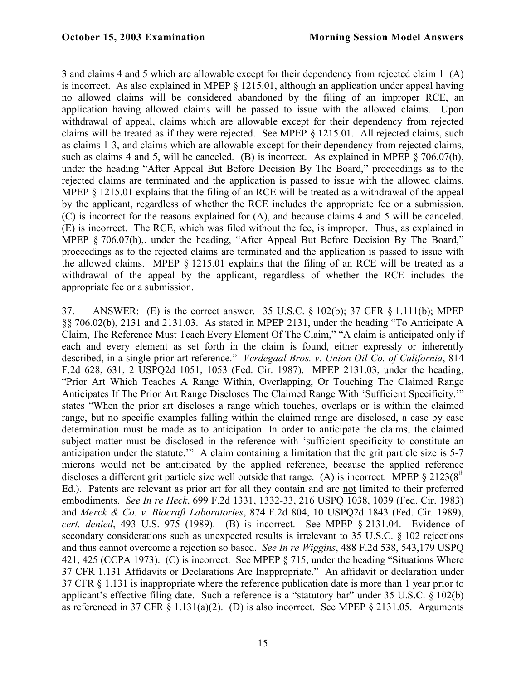3 and claims 4 and 5 which are allowable except for their dependency from rejected claim 1 (A) is incorrect. As also explained in MPEP § 1215.01, although an application under appeal having no allowed claims will be considered abandoned by the filing of an improper RCE, an application having allowed claims will be passed to issue with the allowed claims. Upon withdrawal of appeal, claims which are allowable except for their dependency from rejected claims will be treated as if they were rejected. See MPEP § 1215.01. All rejected claims, such as claims 1-3, and claims which are allowable except for their dependency from rejected claims, such as claims 4 and 5, will be canceled. (B) is incorrect. As explained in MPEP  $\frac{8706.07(h)}{h}$ . under the heading "After Appeal But Before Decision By The Board," proceedings as to the rejected claims are terminated and the application is passed to issue with the allowed claims. MPEP  $\S$  1215.01 explains that the filing of an RCE will be treated as a withdrawal of the appeal by the applicant, regardless of whether the RCE includes the appropriate fee or a submission. (C) is incorrect for the reasons explained for (A), and because claims 4 and 5 will be canceled. (E) is incorrect. The RCE, which was filed without the fee, is improper. Thus, as explained in MPEP § 706.07(h), under the heading, "After Appeal But Before Decision By The Board," proceedings as to the rejected claims are terminated and the application is passed to issue with the allowed claims. MPEP § 1215.01 explains that the filing of an RCE will be treated as a withdrawal of the appeal by the applicant, regardless of whether the RCE includes the appropriate fee or a submission.

37. ANSWER: (E) is the correct answer. 35 U.S.C. § 102(b); 37 CFR § 1.111(b); MPEP §§ 706.02(b), 2131 and 2131.03. As stated in MPEP 2131, under the heading "To Anticipate A Claim, The Reference Must Teach Every Element Of The Claim," "A claim is anticipated only if each and every element as set forth in the claim is found, either expressly or inherently described, in a single prior art reference." *Verdegaal Bros. v. Union Oil Co. of California*, 814 F.2d 628, 631, 2 USPQ2d 1051, 1053 (Fed. Cir. 1987). MPEP 2131.03, under the heading, "Prior Art Which Teaches A Range Within, Overlapping, Or Touching The Claimed Range Anticipates If The Prior Art Range Discloses The Claimed Range With 'Sufficient Specificity.'" states "When the prior art discloses a range which touches, overlaps or is within the claimed range, but no specific examples falling within the claimed range are disclosed, a case by case determination must be made as to anticipation. In order to anticipate the claims, the claimed subject matter must be disclosed in the reference with 'sufficient specificity to constitute an anticipation under the statute.'" A claim containing a limitation that the grit particle size is 5-7 microns would not be anticipated by the applied reference, because the applied reference discloses a different grit particle size well outside that range. (A) is incorrect. MPEP  $\S 2123(8^{th}$ Ed.). Patents are relevant as prior art for all they contain and are not limited to their preferred embodiments. *See In re Heck*, 699 F.2d 1331, 1332-33, 216 USPQ 1038, 1039 (Fed. Cir. 1983) and *Merck & Co. v. Biocraft Laboratories*, 874 F.2d 804, 10 USPQ2d 1843 (Fed. Cir. 1989), *cert. denied*, 493 U.S. 975 (1989). (B) is incorrect. See MPEP § 2131.04. Evidence of secondary considerations such as unexpected results is irrelevant to 35 U.S.C. § 102 rejections and thus cannot overcome a rejection so based. *See In re Wiggins*, 488 F.2d 538, 543,179 USPQ 421, 425 (CCPA 1973). (C) is incorrect. See MPEP § 715, under the heading "Situations Where 37 CFR 1.131 Affidavits or Declarations Are Inappropriate." An affidavit or declaration under 37 CFR § 1.131 is inappropriate where the reference publication date is more than 1 year prior to applicant's effective filing date. Such a reference is a "statutory bar" under 35 U.S.C. § 102(b) as referenced in 37 CFR  $\S$  1.131(a)(2). (D) is also incorrect. See MPEP  $\S$  2131.05. Arguments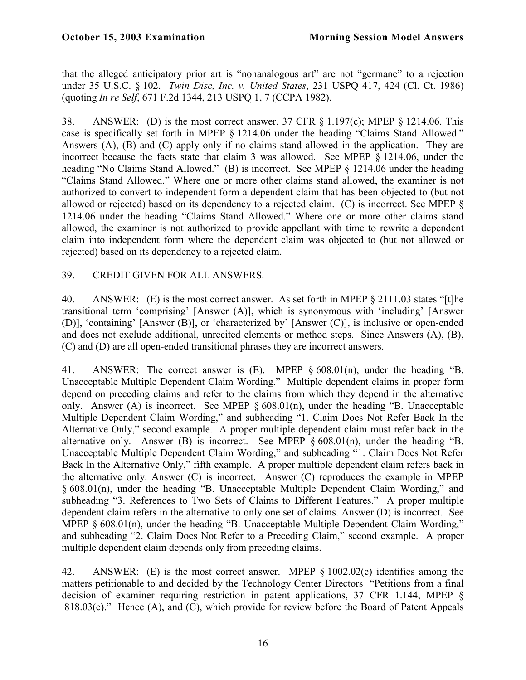that the alleged anticipatory prior art is "nonanalogous art" are not "germane" to a rejection under 35 U.S.C. § 102. *Twin Disc, Inc. v. United States*, 231 USPQ 417, 424 (Cl. Ct. 1986) (quoting *In re Self*, 671 F.2d 1344, 213 USPQ 1, 7 (CCPA 1982).

38. ANSWER: (D) is the most correct answer. 37 CFR § 1.197(c); MPEP § 1214.06. This case is specifically set forth in MPEP § 1214.06 under the heading "Claims Stand Allowed." Answers (A), (B) and (C) apply only if no claims stand allowed in the application. They are incorrect because the facts state that claim 3 was allowed. See MPEP § 1214.06, under the heading "No Claims Stand Allowed." (B) is incorrect. See MPEP § 1214.06 under the heading "Claims Stand Allowed." Where one or more other claims stand allowed, the examiner is not authorized to convert to independent form a dependent claim that has been objected to (but not allowed or rejected) based on its dependency to a rejected claim. (C) is incorrect. See MPEP § 1214.06 under the heading "Claims Stand Allowed." Where one or more other claims stand allowed, the examiner is not authorized to provide appellant with time to rewrite a dependent claim into independent form where the dependent claim was objected to (but not allowed or rejected) based on its dependency to a rejected claim.

## 39. CREDIT GIVEN FOR ALL ANSWERS.

40. ANSWER: (E) is the most correct answer. As set forth in MPEP § 2111.03 states "[t]he transitional term 'comprising' [Answer (A)], which is synonymous with 'including' [Answer (D)], 'containing' [Answer (B)], or 'characterized by' [Answer (C)], is inclusive or open-ended and does not exclude additional, unrecited elements or method steps. Since Answers (A), (B), (C) and (D) are all open-ended transitional phrases they are incorrect answers.

41. ANSWER: The correct answer is (E). MPEP § 608.01(n), under the heading "B. Unacceptable Multiple Dependent Claim Wording." Multiple dependent claims in proper form depend on preceding claims and refer to the claims from which they depend in the alternative only. Answer (A) is incorrect. See MPEP § 608.01(n), under the heading "B. Unacceptable Multiple Dependent Claim Wording," and subheading "1. Claim Does Not Refer Back In the Alternative Only," second example. A proper multiple dependent claim must refer back in the alternative only. Answer (B) is incorrect. See MPEP  $\delta$  608.01(n), under the heading "B. Unacceptable Multiple Dependent Claim Wording," and subheading "1. Claim Does Not Refer Back In the Alternative Only," fifth example. A proper multiple dependent claim refers back in the alternative only. Answer (C) is incorrect. Answer (C) reproduces the example in MPEP § 608.01(n), under the heading "B. Unacceptable Multiple Dependent Claim Wording," and subheading "3. References to Two Sets of Claims to Different Features." A proper multiple dependent claim refers in the alternative to only one set of claims. Answer (D) is incorrect. See MPEP § 608.01(n), under the heading "B. Unacceptable Multiple Dependent Claim Wording," and subheading "2. Claim Does Not Refer to a Preceding Claim," second example. A proper multiple dependent claim depends only from preceding claims.

42. ANSWER: (E) is the most correct answer. MPEP § 1002.02(c) identifies among the matters petitionable to and decided by the Technology Center Directors "Petitions from a final decision of examiner requiring restriction in patent applications, 37 CFR 1.144, MPEP § 818.03(c)." Hence  $(A)$ , and  $(C)$ , which provide for review before the Board of Patent Appeals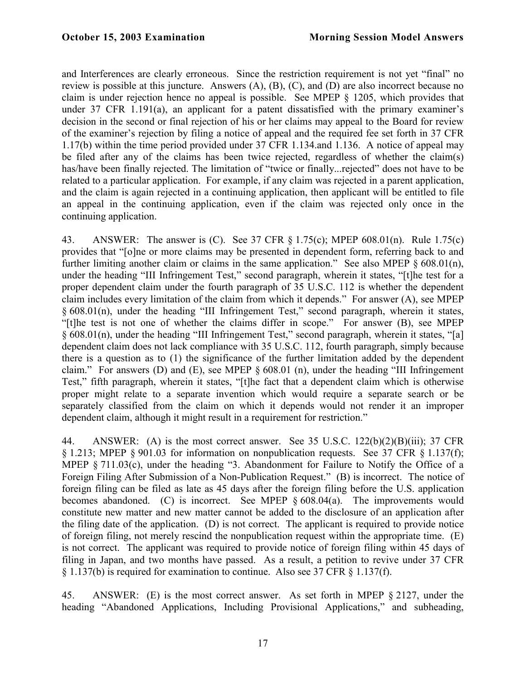and Interferences are clearly erroneous. Since the restriction requirement is not yet "final" no review is possible at this juncture. Answers (A), (B), (C), and (D) are also incorrect because no claim is under rejection hence no appeal is possible. See MPEP § 1205, which provides that under 37 CFR 1.191(a), an applicant for a patent dissatisfied with the primary examiner's decision in the second or final rejection of his or her claims may appeal to the Board for review of the examiner's rejection by filing a notice of appeal and the required fee set forth in 37 CFR 1.17(b) within the time period provided under 37 CFR 1.134.and 1.136. A notice of appeal may be filed after any of the claims has been twice rejected, regardless of whether the claim(s) has/have been finally rejected. The limitation of "twice or finally... rejected" does not have to be related to a particular application. For example, if any claim was rejected in a parent application, and the claim is again rejected in a continuing application, then applicant will be entitled to file an appeal in the continuing application, even if the claim was rejected only once in the continuing application.

43. ANSWER: The answer is (C). See 37 CFR § 1.75(c); MPEP 608.01(n). Rule 1.75(c) provides that "[o]ne or more claims may be presented in dependent form, referring back to and further limiting another claim or claims in the same application." See also MPEP  $\S 608.01(n)$ , under the heading "III Infringement Test," second paragraph, wherein it states, "[t]he test for a proper dependent claim under the fourth paragraph of 35 U.S.C. 112 is whether the dependent claim includes every limitation of the claim from which it depends." For answer (A), see MPEP § 608.01(n), under the heading "III Infringement Test," second paragraph, wherein it states, "[t]he test is not one of whether the claims differ in scope." For answer (B), see MPEP § 608.01(n), under the heading "III Infringement Test," second paragraph, wherein it states, "[a] dependent claim does not lack compliance with 35 U.S.C. 112, fourth paragraph, simply because there is a question as to (1) the significance of the further limitation added by the dependent claim." For answers (D) and (E), see MPEP  $\S 608.01$  (n), under the heading "III Infringement Test," fifth paragraph, wherein it states, "[t]he fact that a dependent claim which is otherwise proper might relate to a separate invention which would require a separate search or be separately classified from the claim on which it depends would not render it an improper dependent claim, although it might result in a requirement for restriction."

44. ANSWER: (A) is the most correct answer. See 35 U.S.C. 122(b)(2)(B)(iii); 37 CFR § 1.213; MPEP § 901.03 for information on nonpublication requests. See 37 CFR § 1.137(f); MPEP § 711.03(c), under the heading "3. Abandonment for Failure to Notify the Office of a Foreign Filing After Submission of a Non-Publication Request." (B) is incorrect. The notice of foreign filing can be filed as late as 45 days after the foreign filing before the U.S. application becomes abandoned. (C) is incorrect. See MPEP  $\S 608.04(a)$ . The improvements would constitute new matter and new matter cannot be added to the disclosure of an application after the filing date of the application. (D) is not correct. The applicant is required to provide notice of foreign filing, not merely rescind the nonpublication request within the appropriate time. (E) is not correct. The applicant was required to provide notice of foreign filing within 45 days of filing in Japan, and two months have passed. As a result, a petition to revive under 37 CFR § 1.137(b) is required for examination to continue. Also see 37 CFR § 1.137(f).

45. ANSWER: (E) is the most correct answer. As set forth in MPEP § 2127, under the heading "Abandoned Applications, Including Provisional Applications," and subheading,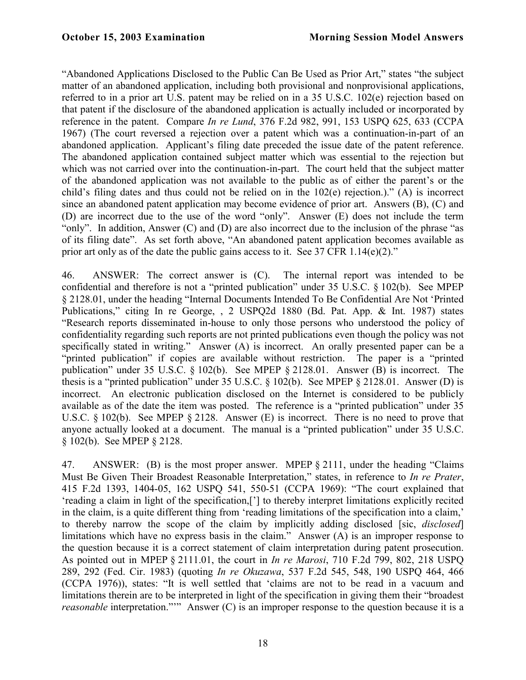"Abandoned Applications Disclosed to the Public Can Be Used as Prior Art," states "the subject matter of an abandoned application, including both provisional and nonprovisional applications, referred to in a prior art U.S. patent may be relied on in a 35 U.S.C. 102(e) rejection based on that patent if the disclosure of the abandoned application is actually included or incorporated by reference in the patent. Compare *In re Lund*, 376 F.2d 982, 991, 153 USPQ 625, 633 (CCPA 1967) (The court reversed a rejection over a patent which was a continuation-in-part of an abandoned application. Applicant's filing date preceded the issue date of the patent reference. The abandoned application contained subject matter which was essential to the rejection but which was not carried over into the continuation-in-part. The court held that the subject matter of the abandoned application was not available to the public as of either the parent's or the child's filing dates and thus could not be relied on in the 102(e) rejection.)." (A) is incorrect since an abandoned patent application may become evidence of prior art. Answers (B), (C) and (D) are incorrect due to the use of the word "only". Answer (E) does not include the term "only". In addition, Answer (C) and (D) are also incorrect due to the inclusion of the phrase "as of its filing date". As set forth above, "An abandoned patent application becomes available as prior art only as of the date the public gains access to it. See 37 CFR 1.14(e)(2)."

46. ANSWER: The correct answer is (C). The internal report was intended to be confidential and therefore is not a "printed publication" under 35 U.S.C. § 102(b). See MPEP § 2128.01, under the heading "Internal Documents Intended To Be Confidential Are Not 'Printed Publications," citing In re George, , 2 USPQ2d 1880 (Bd. Pat. App. & Int. 1987) states "Research reports disseminated in-house to only those persons who understood the policy of confidentiality regarding such reports are not printed publications even though the policy was not specifically stated in writing." Answer (A) is incorrect. An orally presented paper can be a "printed publication" if copies are available without restriction. The paper is a "printed publication" under 35 U.S.C. § 102(b). See MPEP § 2128.01. Answer (B) is incorrect. The thesis is a "printed publication" under 35 U.S.C. § 102(b). See MPEP § 2128.01. Answer (D) is incorrect. An electronic publication disclosed on the Internet is considered to be publicly available as of the date the item was posted. The reference is a "printed publication" under 35 U.S.C. § 102(b). See MPEP § 2128. Answer (E) is incorrect. There is no need to prove that anyone actually looked at a document. The manual is a "printed publication" under 35 U.S.C. § 102(b). See MPEP § 2128.

47. ANSWER: (B) is the most proper answer. MPEP § 2111, under the heading "Claims Must Be Given Their Broadest Reasonable Interpretation," states, in reference to *In re Prater*, 415 F.2d 1393, 1404-05, 162 USPQ 541, 550-51 (CCPA 1969): "The court explained that 'reading a claim in light of the specification,['] to thereby interpret limitations explicitly recited in the claim, is a quite different thing from 'reading limitations of the specification into a claim,' to thereby narrow the scope of the claim by implicitly adding disclosed [sic, *disclosed*] limitations which have no express basis in the claim." Answer (A) is an improper response to the question because it is a correct statement of claim interpretation during patent prosecution. As pointed out in MPEP § 2111.01, the court in *In re Marosi*, 710 F.2d 799, 802, 218 USPQ 289, 292 (Fed. Cir. 1983) (quoting *In re Okuzawa*, 537 F.2d 545, 548, 190 USPQ 464, 466 (CCPA 1976)), states: "It is well settled that 'claims are not to be read in a vacuum and limitations therein are to be interpreted in light of the specification in giving them their "broadest *reasonable* interpretation."" Answer (C) is an improper response to the question because it is a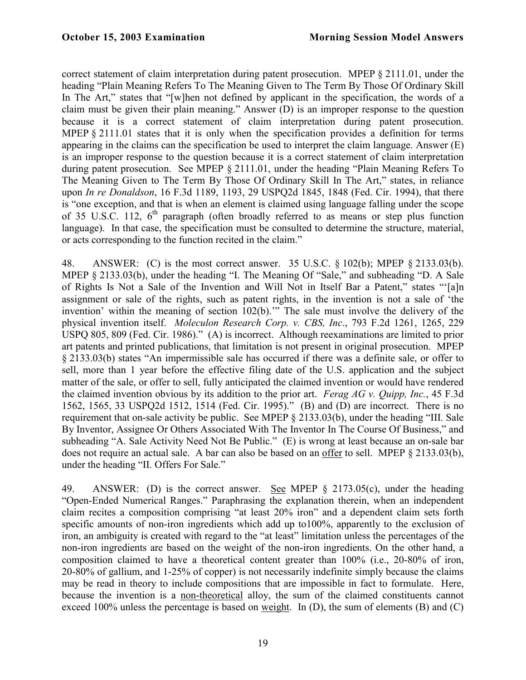correct statement of claim interpretation during patent prosecution. MPEP § 2111.01, under the heading "Plain Meaning Refers To The Meaning Given to The Term By Those Of Ordinary Skill In The Art," states that "[w]hen not defined by applicant in the specification, the words of a claim must be given their plain meaning." Answer (D) is an improper response to the question because it is a correct statement of claim interpretation during patent prosecution. MPEP § 2111.01 states that it is only when the specification provides a definition for terms appearing in the claims can the specification be used to interpret the claim language. Answer (E) is an improper response to the question because it is a correct statement of claim interpretation during patent prosecution. See MPEP § 2111.01, under the heading "Plain Meaning Refers To The Meaning Given to The Term By Those Of Ordinary Skill In The Art," states, in reliance upon *In re Donaldson*, 16 F.3d 1189, 1193, 29 USPQ2d 1845, 1848 (Fed. Cir. 1994), that there is "one exception, and that is when an element is claimed using language falling under the scope of 35 U.S.C. 112,  $6<sup>th</sup>$  paragraph (often broadly referred to as means or step plus function language). In that case, the specification must be consulted to determine the structure, material, or acts corresponding to the function recited in the claim."

48. ANSWER: (C) is the most correct answer. 35 U.S.C. § 102(b); MPEP § 2133.03(b). MPEP § 2133.03(b), under the heading "I. The Meaning Of "Sale," and subheading "D. A Sale of Rights Is Not a Sale of the Invention and Will Not in Itself Bar a Patent," states "'[a]n assignment or sale of the rights, such as patent rights, in the invention is not a sale of 'the invention' within the meaning of section 102(b).'" The sale must involve the delivery of the physical invention itself. *Moleculon Research Corp. v. CBS, Inc*., 793 F.2d 1261, 1265, 229 USPQ 805, 809 (Fed. Cir. 1986)." (A) is incorrect. Although reexaminations are limited to prior art patents and printed publications, that limitation is not present in original prosecution. MPEP § 2133.03(b) states "An impermissible sale has occurred if there was a definite sale, or offer to sell, more than 1 year before the effective filing date of the U.S. application and the subject matter of the sale, or offer to sell, fully anticipated the claimed invention or would have rendered the claimed invention obvious by its addition to the prior art. *Ferag AG v. Quipp, Inc.*, 45 F.3d 1562, 1565, 33 USPQ2d 1512, 1514 (Fed. Cir. 1995)." (B) and (D) are incorrect. There is no requirement that on-sale activity be public. See MPEP § 2133.03(b), under the heading "III. Sale By Inventor, Assignee Or Others Associated With The Inventor In The Course Of Business," and subheading "A. Sale Activity Need Not Be Public." (E) is wrong at least because an on-sale bar does not require an actual sale. A bar can also be based on an offer to sell. MPEP § 2133.03(b), under the heading "II. Offers For Sale."

49. ANSWER: (D) is the correct answer. See MPEP § 2173.05(c), under the heading "Open-Ended Numerical Ranges." Paraphrasing the explanation therein, when an independent claim recites a composition comprising "at least 20% iron" and a dependent claim sets forth specific amounts of non-iron ingredients which add up to100%, apparently to the exclusion of iron, an ambiguity is created with regard to the "at least" limitation unless the percentages of the non-iron ingredients are based on the weight of the non-iron ingredients. On the other hand, a composition claimed to have a theoretical content greater than 100% (i.e., 20-80% of iron, 20-80% of gallium, and 1-25% of copper) is not necessarily indefinite simply because the claims may be read in theory to include compositions that are impossible in fact to formulate. Here, because the invention is a non-theoretical alloy, the sum of the claimed constituents cannot exceed 100% unless the percentage is based on weight. In (D), the sum of elements (B) and (C)